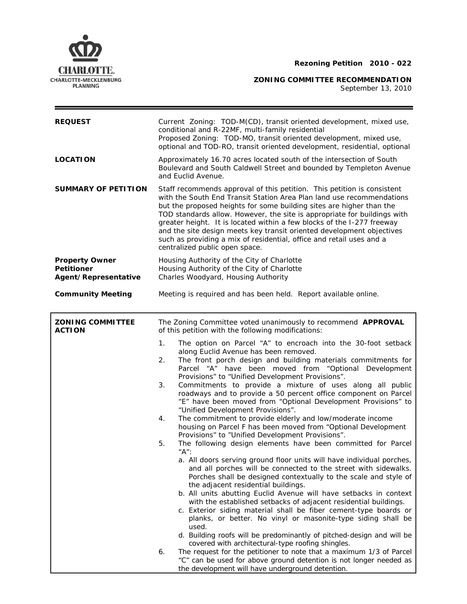

**ZONING COMMITTEE RECOMMENDATION** 

September 13, 2010

| <b>REQUEST</b>                                                     | Current Zoning: TOD-M(CD), transit oriented development, mixed use,<br>conditional and R-22MF, multi-family residential<br>Proposed Zoning: TOD-MO, transit oriented development, mixed use,<br>optional and TOD-RO, transit oriented development, residential, optional                                                                                                                                                                                                                                                                                                                                                                                                                                                                                                                                                                                                                                                                                                                                                                                                                                                                                                                                                                                                                                                                                                                                                                                                                                                                                                                                                                                                                                         |  |  |  |
|--------------------------------------------------------------------|------------------------------------------------------------------------------------------------------------------------------------------------------------------------------------------------------------------------------------------------------------------------------------------------------------------------------------------------------------------------------------------------------------------------------------------------------------------------------------------------------------------------------------------------------------------------------------------------------------------------------------------------------------------------------------------------------------------------------------------------------------------------------------------------------------------------------------------------------------------------------------------------------------------------------------------------------------------------------------------------------------------------------------------------------------------------------------------------------------------------------------------------------------------------------------------------------------------------------------------------------------------------------------------------------------------------------------------------------------------------------------------------------------------------------------------------------------------------------------------------------------------------------------------------------------------------------------------------------------------------------------------------------------------------------------------------------------------|--|--|--|
| <b>LOCATION</b>                                                    | Approximately 16.70 acres located south of the intersection of South<br>Boulevard and South Caldwell Street and bounded by Templeton Avenue<br>and Euclid Avenue.                                                                                                                                                                                                                                                                                                                                                                                                                                                                                                                                                                                                                                                                                                                                                                                                                                                                                                                                                                                                                                                                                                                                                                                                                                                                                                                                                                                                                                                                                                                                                |  |  |  |
| <b>SUMMARY OF PETITION</b>                                         | Staff recommends approval of this petition. This petition is consistent<br>with the South End Transit Station Area Plan land use recommendations<br>but the proposed heights for some building sites are higher than the<br>TOD standards allow. However, the site is appropriate for buildings with<br>greater height. It is located within a few blocks of the I-277 freeway<br>and the site design meets key transit oriented development objectives<br>such as providing a mix of residential, office and retail uses and a<br>centralized public open space.                                                                                                                                                                                                                                                                                                                                                                                                                                                                                                                                                                                                                                                                                                                                                                                                                                                                                                                                                                                                                                                                                                                                                |  |  |  |
| <b>Property Owner</b><br><b>Petitioner</b><br>Agent/Representative | Housing Authority of the City of Charlotte<br>Housing Authority of the City of Charlotte<br>Charles Woodyard, Housing Authority                                                                                                                                                                                                                                                                                                                                                                                                                                                                                                                                                                                                                                                                                                                                                                                                                                                                                                                                                                                                                                                                                                                                                                                                                                                                                                                                                                                                                                                                                                                                                                                  |  |  |  |
| <b>Community Meeting</b>                                           | Meeting is required and has been held. Report available online.                                                                                                                                                                                                                                                                                                                                                                                                                                                                                                                                                                                                                                                                                                                                                                                                                                                                                                                                                                                                                                                                                                                                                                                                                                                                                                                                                                                                                                                                                                                                                                                                                                                  |  |  |  |
| <b>ZONING COMMITTEE</b><br><b>ACTION</b>                           | The Zoning Committee voted unanimously to recommend APPROVAL<br>of this petition with the following modifications:                                                                                                                                                                                                                                                                                                                                                                                                                                                                                                                                                                                                                                                                                                                                                                                                                                                                                                                                                                                                                                                                                                                                                                                                                                                                                                                                                                                                                                                                                                                                                                                               |  |  |  |
|                                                                    | 1 <sub>1</sub><br>The option on Parcel "A" to encroach into the 30-foot setback<br>along Euclid Avenue has been removed.<br>The front porch design and building materials commitments for<br>2.<br>Parcel "A" have been moved from "Optional Development<br>Provisions" to "Unified Development Provisions".<br>Commitments to provide a mixture of uses along all public<br>3.<br>roadways and to provide a 50 percent office component on Parcel<br>"E" have been moved from "Optional Development Provisions" to<br>"Unified Development Provisions".<br>The commitment to provide elderly and low/moderate income<br>4.<br>housing on Parcel F has been moved from "Optional Development<br>Provisions" to "Unified Development Provisions".<br>The following design elements have been committed for Parcel<br>5.<br>"A":<br>a. All doors serving ground floor units will have individual porches,<br>and all porches will be connected to the street with sidewalks.<br>Porches shall be designed contextually to the scale and style of<br>the adjacent residential buildings.<br>b. All units abutting Euclid Avenue will have setbacks in context<br>with the established setbacks of adjacent residential buildings.<br>c. Exterior siding material shall be fiber cement-type boards or<br>planks, or better. No vinyl or masonite-type siding shall be<br>used.<br>d. Building roofs will be predominantly of pitched-design and will be<br>covered with architectural-type roofing shingles.<br>The request for the petitioner to note that a maximum 1/3 of Parcel<br>6.<br>"C" can be used for above ground detention is not longer needed as<br>the development will have underground detention. |  |  |  |

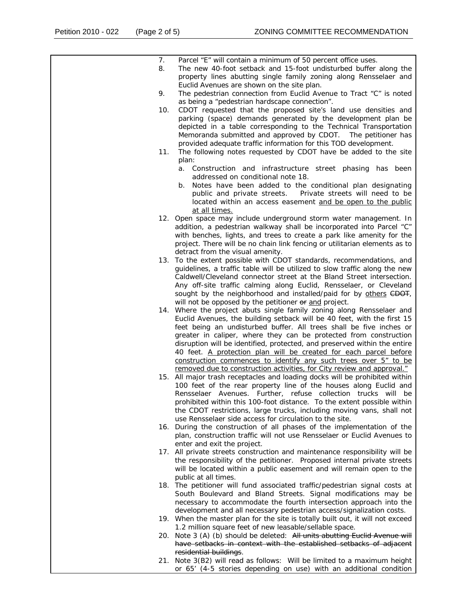| 7.<br>8. | Parcel "E" will contain a minimum of 50 percent office uses.<br>The new 40-foot setback and 15-foot undisturbed buffer along the                                                                                                                                                                                                                                                                                                 |
|----------|----------------------------------------------------------------------------------------------------------------------------------------------------------------------------------------------------------------------------------------------------------------------------------------------------------------------------------------------------------------------------------------------------------------------------------|
| 9.       | property lines abutting single family zoning along Rensselaer and<br>Euclid Avenues are shown on the site plan.<br>The pedestrian connection from Euclid Avenue to Tract "C" is noted                                                                                                                                                                                                                                            |
|          | as being a "pedestrian hardscape connection".                                                                                                                                                                                                                                                                                                                                                                                    |
| 10.      | CDOT requested that the proposed site's land use densities and<br>parking (space) demands generated by the development plan be<br>depicted in a table corresponding to the Technical Transportation<br>Memoranda submitted and approved by CDOT. The petitioner has<br>provided adequate traffic information for this TOD development.                                                                                           |
| 11.      | The following notes requested by CDOT have be added to the site<br>plan:                                                                                                                                                                                                                                                                                                                                                         |
|          | Construction and infrastructure street phasing has been<br>а.<br>addressed on conditional note 18.                                                                                                                                                                                                                                                                                                                               |
|          | Notes have been added to the conditional plan designating<br>b.<br>public and private streets.  Private streets will need to be<br>located within an access easement and be open to the public<br>at all times.                                                                                                                                                                                                                  |
|          | 12. Open space may include underground storm water management. In<br>addition, a pedestrian walkway shall be incorporated into Parcel "C"<br>with benches, lights, and trees to create a park like amenity for the<br>project. There will be no chain link fencing or utilitarian elements as to<br>detract from the visual amenity.                                                                                             |
|          | 13. To the extent possible with CDOT standards, recommendations, and<br>guidelines, a traffic table will be utilized to slow traffic along the new<br>Caldwell/Cleveland connector street at the Bland Street intersection.<br>Any off-site traffic calming along Euclid, Rensselaer, or Cleveland                                                                                                                               |
|          | sought by the neighborhood and installed/paid for by others CDOT,<br>will not be opposed by the petitioner or and project.<br>14. Where the project abuts single family zoning along Rensselaer and<br>Euclid Avenues, the building setback will be 40 feet, with the first 15<br>feet being an undisturbed buffer. All trees shall be five inches or                                                                            |
|          | greater in caliper, where they can be protected from construction<br>disruption will be identified, protected, and preserved within the entire<br>40 feet. A protection plan will be created for each parcel before<br>construction commences to identify any such trees over 5" to be<br>removed due to construction activities, for City review and approval."                                                                 |
|          | 15. All major trash receptacles and loading docks will be prohibited within<br>100 feet of the rear property line of the houses along Euclid and<br>Rensselaer Avenues. Further, refuse collection trucks will be<br>prohibited within this 100-foot distance. To the extent possible within<br>the CDOT restrictions, large trucks, including moving vans, shall not<br>use Rensselaer side access for circulation to the site. |
| 16.      | During the construction of all phases of the implementation of the<br>plan, construction traffic will not use Rensselaer or Euclid Avenues to<br>enter and exit the project.                                                                                                                                                                                                                                                     |
|          | 17. All private streets construction and maintenance responsibility will be<br>the responsibility of the petitioner. Proposed internal private streets<br>will be located within a public easement and will remain open to the                                                                                                                                                                                                   |
|          | public at all times.<br>18. The petitioner will fund associated traffic/pedestrian signal costs at<br>South Boulevard and Bland Streets. Signal modifications may be<br>necessary to accommodate the fourth intersection approach into the                                                                                                                                                                                       |
|          | development and all necessary pedestrian access/signalization costs.<br>19. When the master plan for the site is totally built out, it will not exceed                                                                                                                                                                                                                                                                           |
| 20.      | 1.2 million square feet of new leasable/sellable space.<br>Note 3 (A) (b) should be deleted: All units abutting Euclid Avenue will<br>have setbacks in context with the established setbacks of adjacent                                                                                                                                                                                                                         |
|          | residential buildings.<br>21. Note 3(B2) will read as follows: Will be limited to a maximum height<br>or 65' (4-5 stories depending on use) with an additional condition                                                                                                                                                                                                                                                         |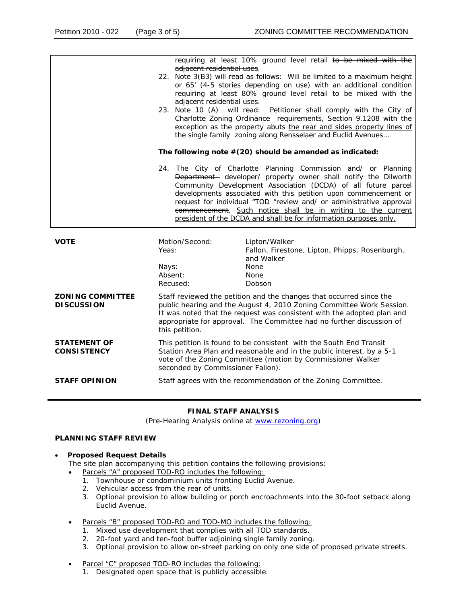|                                              | adjacent residential uses.<br>adjacent residential uses.<br>23. Note 10 (A)                                                                                                                                                                                                                                     | requiring at least 10% ground level retail to be mixed with the<br>22. Note 3(B3) will read as follows: Will be limited to a maximum height<br>or 65' (4-5 stories depending on use) with an additional condition<br>requiring at least 80% ground level retail to be mixed with the<br>will read:<br>Petitioner shall comply with the City of<br>Charlotte Zoning Ordinance requirements, Section 9.1208 with the<br>exception as the property abuts the rear and sides property lines of<br>the single family zoning along Rensselaer and Euclid Avenues |  |
|----------------------------------------------|-----------------------------------------------------------------------------------------------------------------------------------------------------------------------------------------------------------------------------------------------------------------------------------------------------------------|------------------------------------------------------------------------------------------------------------------------------------------------------------------------------------------------------------------------------------------------------------------------------------------------------------------------------------------------------------------------------------------------------------------------------------------------------------------------------------------------------------------------------------------------------------|--|
|                                              | The following note $#(20)$ should be amended as indicated:                                                                                                                                                                                                                                                      |                                                                                                                                                                                                                                                                                                                                                                                                                                                                                                                                                            |  |
|                                              |                                                                                                                                                                                                                                                                                                                 | 24. The City of Charlotte Planning Commission and/ or Planning<br>Department- developer/ property owner shall notify the Dilworth<br>Community Development Association (DCDA) of all future parcel<br>developments associated with this petition upon commencement or<br>request for individual "TOD "review and/ or administrative approval<br>commencement. Such notice shall be in writing to the current<br>president of the DCDA and shall be for information purposes only.                                                                          |  |
| <b>VOTE</b>                                  | Motion/Second:<br>Yeas:                                                                                                                                                                                                                                                                                         | Lipton/Walker<br>Fallon, Firestone, Lipton, Phipps, Rosenburgh,<br>and Walker                                                                                                                                                                                                                                                                                                                                                                                                                                                                              |  |
|                                              | Nays:<br>Absent:<br>Recused:                                                                                                                                                                                                                                                                                    | <b>None</b><br>None<br>Dobson                                                                                                                                                                                                                                                                                                                                                                                                                                                                                                                              |  |
| <b>ZONING COMMITTEE</b><br><b>DISCUSSION</b> | Staff reviewed the petition and the changes that occurred since the<br>public hearing and the August 4, 2010 Zoning Committee Work Session.<br>It was noted that the request was consistent with the adopted plan and<br>appropriate for approval. The Committee had no further discussion of<br>this petition. |                                                                                                                                                                                                                                                                                                                                                                                                                                                                                                                                                            |  |
| <b>STATEMENT OF</b><br><b>CONSISTENCY</b>    | This petition is found to be consistent with the South End Transit<br>Station Area Plan and reasonable and in the public interest, by a 5-1<br>vote of the Zoning Committee (motion by Commissioner Walker<br>seconded by Commissioner Fallon).                                                                 |                                                                                                                                                                                                                                                                                                                                                                                                                                                                                                                                                            |  |
| <b>STAFF OPINION</b>                         | Staff agrees with the recommendation of the Zoning Committee.                                                                                                                                                                                                                                                   |                                                                                                                                                                                                                                                                                                                                                                                                                                                                                                                                                            |  |

## **FINAL STAFF ANALYSIS**

(Pre-Hearing Analysis online at [www.rezoning.org\)](http://www.rezoning.org/)

# **PLANNING STAFF REVIEW**

#### • **Proposed Request Details**

The site plan accompanying this petition contains the following provisions:

- Parcels "A" proposed TOD-RO includes the following:
	- 1. Townhouse or condominium units fronting Euclid Avenue.
	- 2. Vehicular access from the rear of units.
	- 3. Optional provision to allow building or porch encroachments into the 30-foot setback along Euclid Avenue.
- Parcels "B" proposed TOD-RO and TOD-MO includes the following:
	- 1. Mixed use development that complies with all TOD standards.
	- 2. 20-foot yard and ten-foot buffer adjoining single family zoning.
	- 3. Optional provision to allow on-street parking on only one side of proposed private streets.
- Parcel "C" proposed TOD-RO includes the following:
	- 1. Designated open space that is publicly accessible.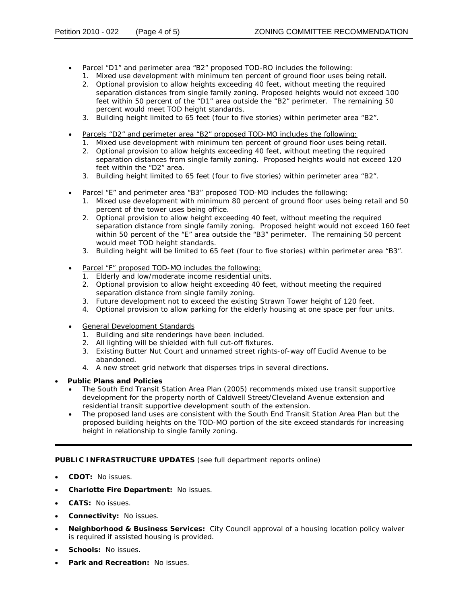- Parcel "D1" and perimeter area "B2" proposed TOD-RO includes the following:
	- 1. Mixed use development with minimum ten percent of ground floor uses being retail.
	- separation distances from single family zoning. Proposed heights would not exceed 100 2. Optional provision to allow heights exceeding 40 feet, without meeting the required feet within 50 percent of the "D1" area outside the "B2" perimeter. The remaining 50 percent would meet TOD height standards.
	- 3. Building height limited to 65 feet (four to five stories) within perimeter area "B2".
- Parcels "D2" and perimeter area "B2" proposed TOD-MO includes the following:
	- 1. Mixed use development with minimum ten percent of ground floor uses being retail.
	- separation distances from single family zoning. Proposed heights would not exceed 120 2. Optional provision to allow heights exceeding 40 feet, without meeting the required feet within the "D2" area.
	- 3. Building height limited to 65 feet (four to five stories) within perimeter area "B2".
- Parcel "E" and perimeter area "B3" proposed TOD-MO includes the following:
	- 1. Mixed use development with minimum 80 percent of ground floor uses being retail and 50 percent of the tower uses being office.
	- 2. Optional provision to allow height exceeding 40 feet, without meeting the required separation distance from single family zoning. Proposed height would not exceed 160 feet within 50 percent of the "E" area outside the "B3" perimeter. The remaining 50 percent would meet TOD height standards.
	- 3. Building height will be limited to 65 feet (four to five stories) within perimeter area "B3".
- Parcel "F" proposed TOD-MO includes the following:
	- 1. Elderly and low/moderate income residential units.
	- 2. Optional provision to allow height exceeding 40 feet, without meeting the required separation distance from single family zoning.
	- 3. Future development not to exceed the existing Strawn Tower height of 120 feet.
	- 4. Optional provision to allow parking for the elderly housing at one space per four units.
- General Development Standards
	- 1. Building and site renderings have been included.
	- . 2. All lighting will be shielded with full cut-off fixtures
	- 3. Existing Butter Nut Court and unnamed street rights-of-way off Euclid Avenue to be abandoned.
	- 4. A new street grid network that disperses trips in several directions.
- **Public Plans and Policies**
	- The *South End Transit Station Area Plan* (2005) recommends mixed use transit supportive development for the property north of Caldwell Street/Cleveland Avenue extension and residential transit supportive development south of the extension.
	- The proposed land uses are consistent with the *South End Transit Station Area Plan* but the proposed building heights on the TOD-MO portion of the site exceed standards for increasing height in relationship to single family zoning.

## **PUBLIC INFRASTRUCTURE UPDATES** (see full department reports online)

- **CDOT:** No issues.
- **Charlotte Fire Department: No issues.**
- **CATS:** No issues.
- **Connectivity: No issues.**
- Neighborhood & Business Services: City Council approval of a housing location policy waiver is required if assisted housing is provided.
- **Schools:** No issues.
- **Park and Recreation: No issues.**